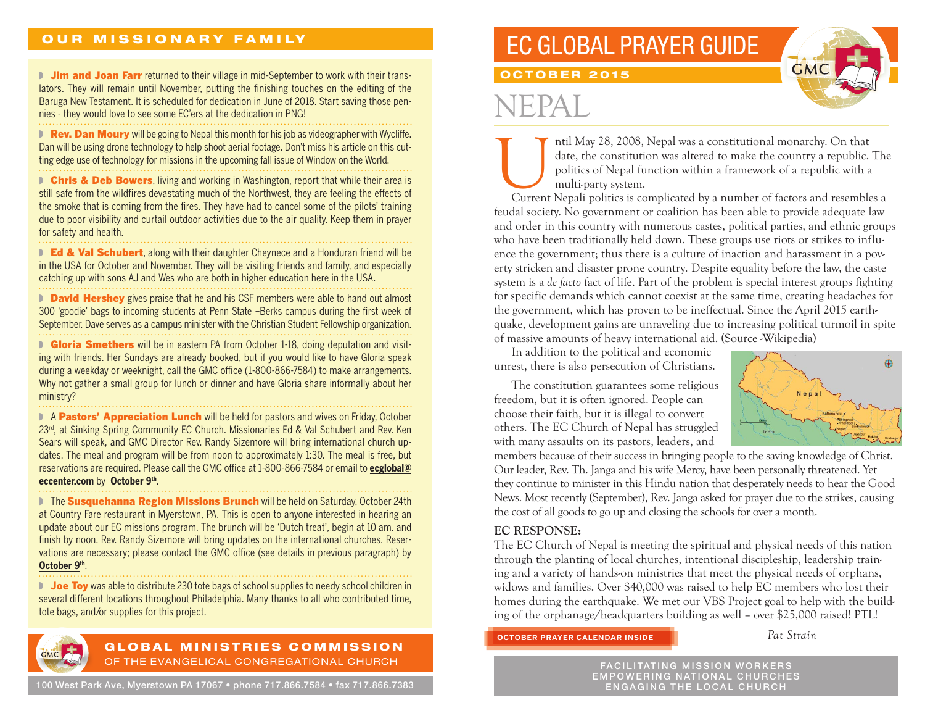### OUR MISSIONARY FAMILY

**I** Jim and Joan Farr returned to their village in mid-September to work with their translators. They will remain until November, putting the finishing touches on the editing of the Baruga New Testament. It is scheduled for dedication in June of 2018. Start saving those pennies - they would love to see some EC'ers at the dedication in PNG!

**• Rev. Dan Moury** will be going to Nepal this month for his job as videographer with Wycliffe. Dan will be using drone technology to help shoot aerial footage. Don't miss his article on this cutting edge use of technology for missions in the upcoming fall issue of Window on the World.

■ Chris & Deb Bowers, living and working in Washington, report that while their area is still safe from the wildfires devastating much of the Northwest, they are feeling the effects of the smoke that is coming from the fires. They have had to cancel some of the pilots' training due to poor visibility and curtail outdoor activities due to the air quality. Keep them in prayer for safety and health.

■ Ed & Val Schubert, along with their daughter Cheynece and a Honduran friend will be in the USA for October and November. They will be visiting friends and family, and especially catching up with sons AJ and Wes who are both in higher education here in the USA.

**David Hershey** gives praise that he and his CSF members were able to hand out almost 300 'goodie' bags to incoming students at Penn State –Berks campus during the first week of September. Dave serves as a campus minister with the Christian Student Fellowship organization.

**• Gloria Smethers** will be in eastern PA from October 1-18, doing deputation and visiting with friends. Her Sundays are already booked, but if you would like to have Gloria speak during a weekday or weeknight, call the GMC office (1-800-866-7584) to make arrangements. Why not gather a small group for lunch or dinner and have Gloria share informally about her ministry?

■ A Pastors' Appreciation Lunch will be held for pastors and wives on Friday, October 23<sup>rd</sup>, at Sinking Spring Community EC Church. Missionaries Ed & Val Schubert and Rev. Ken Sears will speak, and GMC Director Rev. Randy Sizemore will bring international church updates. The meal and program will be from noon to approximately 1:30. The meal is free, but reservations are required. Please call the GMC office at 1-800-866-7584 or email to **ecglobal@ eccenter.com** by **October 9th**.

■ The Susquehanna Region Missions Brunch will be held on Saturday, October 24th at Country Fare restaurant in Myerstown, PA. This is open to anyone interested in hearing an update about our EC missions program. The brunch will be 'Dutch treat', begin at 10 am. and finish by noon. Rev. Randy Sizemore will bring updates on the international churches. Reservations are necessary; please contact the GMC office (see details in previous paragraph) by **October 9th**.

**D** Joe Toy was able to distribute 230 tote bags of school supplies to needy school children in several different locations throughout Philadelphia. Many thanks to all who contributed time, tote bags, and/or supplies for this project.



#### GLOBAL MINISTRIES COMMISSION OF THE EVANGELICAL CONGREGATIONAL CHURCH

## EC GLOBAL PRAYER GUIDE



OCTOBER 2015

# IFPA

Intil May 28, 2008, Nepal was a constitutional monarchy. On that date, the constitution was altered to make the country a republic. The politics of Nepal function within a framework of a republic with a multi-party system. date, the constitution was altered to make the country a republic. The politics of Nepal function within a framework of a republic with a multi-party system.

feudal society. No government or coalition has been able to provide adequate law and order in this country with numerous castes, political parties, and ethnic groups who have been traditionally held down. These groups use riots or strikes to influence the government; thus there is a culture of inaction and harassment in a poverty stricken and disaster prone country. Despite equality before the law, the caste system is a *de facto* fact of life. Part of the problem is special interest groups fighting for specific demands which cannot coexist at the same time, creating headaches for the government, which has proven to be ineffectual. Since the April 2015 earthquake, development gains are unraveling due to increasing political turmoil in spite of massive amounts of heavy international aid. (Source -Wikipedia)

In addition to the political and economic unrest, there is also persecution of Christians.

The constitution guarantees some religious freedom, but it is often ignored. People can choose their faith, but it is illegal to convert others. The EC Church of Nepal has struggled with many assaults on its pastors, leaders, and



members because of their success in bringing people to the saving knowledge of Christ. Our leader, Rev. Th. Janga and his wife Mercy, have been personally threatened. Yet they continue to minister in this Hindu nation that desperately needs to hear the Good News. Most recently (September), Rev. Janga asked for prayer due to the strikes, causing the cost of all goods to go up and closing the schools for over a month.

### **EC RESPONSE:**

The EC Church of Nepal is meeting the spiritual and physical needs of this nation through the planting of local churches, intentional discipleship, leadership training and a variety of hands-on ministries that meet the physical needs of orphans, widows and families. Over \$40,000 was raised to help EC members who lost their homes during the earthquake. We met our VBS Project goal to help with the building of the orphanage/headquarters building as well – over \$25,000 raised! PTL!

**OCTOBER PRAYER CALENDAR INSIDE**

*Pat Strain*

FACILITATING MISSION WORKERS EMPOWERING NATIONAL CHURCHES ENGAGING THE LOCAL CHURCH

100 West Park Ave, Myerstown PA 17067 • phone 717.866.7584 • fax 717.866.7383